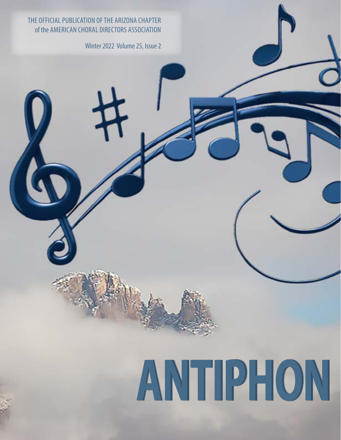#### THE OFFICIAL PUBLICATION OF THE ARIZONA CHAPTER of the AMERICAN CHORAL DIRECTORS ASSOCIATION

Winter 2022 Volume 25, Issue 2

# **ANTIPHON**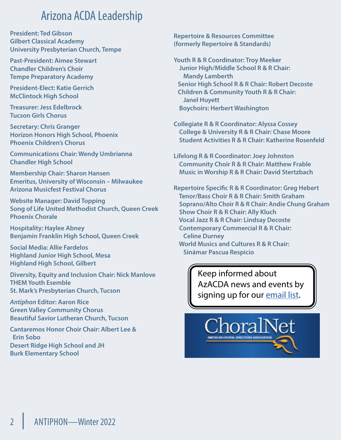### Arizona ACDA Leadership

**President: Ted Gibson Gilbert Classical Academy University Presbyterian Church, Tempe**

**Past-President: Aimee Stewart Chandler Children's Choir Tempe Preparatory Academy**

**President-Elect: Katie Gerrich McClintock High School**

**Treasurer: Jess Edelbrock Tucson Girls Chorus**

**Secretary: Chris Granger Horizon Honors High School, Phoenix Phoenix Children's Chorus**

**Communications Chair: Wendy Umbrianna Chandler High School**

**Membership Chair: Sharon Hansen Emeritus, University of Wisconsin – Milwaukee Arizona Musicfest Festival Chorus**

**Website Manager: David Topping Song of Life United Methodist Church, Queen Creek Phoenix Chorale**

**Hospitality: Haylee Abney Benjamin Franklin High School, Queen Creek**

**Social Media: Allie Fardelos Highland Junior High School, Mesa Highland High School, Gilbert**

**Diversity, Equity and Inclusion Chair: Nick Manlove THEM Youth Esemble St. Mark's Presbyterian Church, Tucson**

*Antiphon* **Editor: Aaron Rice Green Valley Community Chorus Beautiful Savior Lutheran Church, Tucson**

**Cantaremos Honor Choir Chair: Albert Lee & Erin Sobo Desert Ridge High School and JH Burk Elementary School**

**Repertoire & Resources Committee (formerly Repertoire & Standards)**

**Youth R & R Coordinator: Troy Meeker Junior High/Middle School R & R Chair: Mandy Lamberth Senior High School R & R Chair: Robert Decoste Children & Community Youth R & R Chair: Janel Huyett Boychoirs: Herbert Washington**

**Collegiate R & R Coordinator: Alyssa Cossey College & University R & R Chair: Chase Moore Student Activities R & R Chair: Katherine Rosenfeld**

**Lifelong R & R Coordinator: Joey Johnston Community Choir R & R Chair: Matthew Frable Music in Worship R & R Chair: David Stertzbach**

**Repertoire Specific R & R Coordinator: Greg Hebert Tenor/Bass Choir R & R Chair: Smith Graham Soprano/Alto Choir R & R Chair: Andie Chung Graham Show Choir R & R Chair: Ally Kluch Vocal Jazz R & R Chair: Lindsay Decoste Contemporary Commercial R & R Chair: Celine Durney World Musics and Cultures R & R Chair: Sinámar Pascua Respicio**

> Keep informed about AzACDA news and events by signing up for our [email list.](https://www.azacda.org/email-list-signup/)

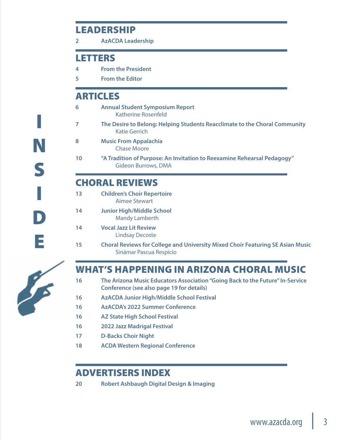#### LEADERSHIP

**2 AzACDA Leadership**

#### LETTERS

- **4 From the President**
- **5 From the Editor**

#### ARTICLES

- **6 Annual Student Symposium Report** Katherine Rosenfeld
- **7 The Desire to Belong: Helping Students Reacclimate to the Choral Community** Katie Gerrich
- **8 Music From Appalachia** Chase Moore
- **10 "A Tradition of Purpose: An Invitation to Reexamine Rehearsal Pedagogy"** Gideon Burrows, DMA

#### CHORAL REVIEWS

- **13 Children's Choir Repertoire** Aimee Stewart
- **14 Junior High/Middle School** Mandy Lamberth
- **14 Vocal Jazz Lit Review** Lindsay Decoste
- **15 Choral Reviews for College and University Mixed Choir Featuring SE Asian Music** Sinámar Pascua Respicio



I

N

S

I

D

E

### WHAT'S HAPPENING IN ARIZONA CHORAL MUSIC

- **16 The Arizona Music Educators Association "Going Back to the Future" In-Service Conference (see also page 19 for details)**
- **16 AzACDA Junior High/Middle School Festival**
- **16 AzACDA's 2022 Summer Conference**
- **16 AZ State High School Festival**
- **16 2022 Jazz Madrigal Festival**
- **17 D-Backs Choir Night**
- **18 ACDA Western Regional Conference**

#### ADVERTISERS INDEX

**20 Robert Ashbaugh Digital Design & Imaging**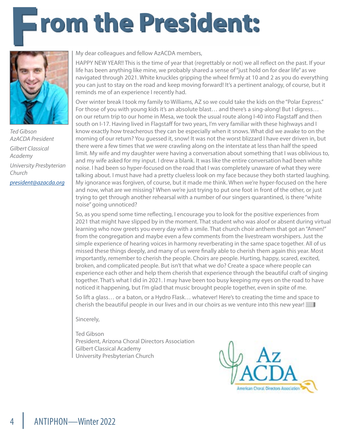# **From the President:**



*Ted Gibson AzACDA President Gilbert Classical Academy University Presbyterian Church [president@azacda.org](mailto:president%40azacda.org?subject=)*

My dear colleagues and fellow AzACDA members,

HAPPY NEW YEAR!! This is the time of year that (regrettably or not) we all reflect on the past. If your life has been anything like mine, we probably shared a sense of "just hold on for dear life" as we navigated through 2021. White knuckles gripping the wheel firmly at 10 and 2 as you do everything you can just to stay on the road and keep moving forward! It's a pertinent analogy, of course, but it reminds me of an experience I recently had.

Over winter break I took my family to Williams, AZ so we could take the kids on the "Polar Express." For those of you with young kids it's an absolute blast… and there's a sing-along! But I digress… on our return trip to our home in Mesa, we took the usual route along I-40 into Flagstaff and then south on I-17. Having lived in Flagstaff for two years, I'm very familiar with these highways and I know exactly how treacherous they can be especially when it snows. What did we awake to on the morning of our return? You guessed it, snow! It was not the worst blizzard I have ever driven in, but there were a few times that we were crawling along on the interstate at less than half the speed limit. My wife and my daughter were having a conversation about something that I was oblivious to, and my wife asked for my input. I drew a blank. It was like the entire conversation had been white noise. I had been so hyper-focused on the road that I was completely unaware of what they were talking about. I must have had a pretty clueless look on my face because they both started laughing. My ignorance was forgiven, of course, but it made me think. When we're hyper-focused on the here and now, what are we missing? When we're just trying to put one foot in front of the other, or just trying to get through another rehearsal with a number of our singers quarantined, is there "white noise" going unnoticed?

So, as you spend some time reflecting, I encourage you to look for the positive experiences from 2021 that might have slipped by in the moment. That student who was aloof or absent during virtual learning who now greets you every day with a smile. That church choir anthem that got an "Amen!" from the congregation and maybe even a few comments from the livestream worshipers. Just the simple experience of hearing voices in harmony reverberating in the same space together. All of us missed these things deeply, and many of us were finally able to cherish them again this year. Most importantly, remember to cherish the people. Choirs are people. Hurting, happy, scared, excited, broken, and complicated people. But isn't that what we do? Create a space where people can experience each other and help them cherish that experience through the beautiful craft of singing together. That's what I did in 2021. I may have been too busy keeping my eyes on the road to have noticed it happening, but I'm glad that music brought people together, even in spite of me.

So lift a glass… or a baton, or a Hydro Flask… whatever! Here's to creating the time and space to cherish the beautiful people in our lives and in our choirs as we venture into this new year! $\equiv$ 

Sincerely,

Ted Gibson President, Arizona Choral Directors Association Gilbert Classical Academy University Presbyterian Church

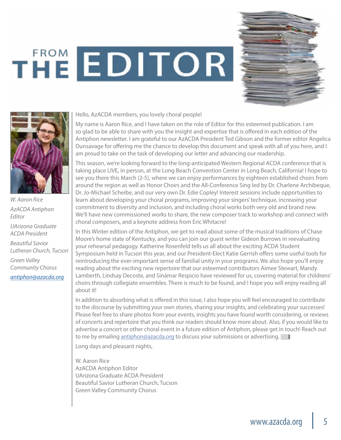# THE EDITOR





*W. Aaron Rice AzACDA Antiphon Editor UArizona Graduate* 

*ACDA President*

*Beautiful Savior Lutheran Church, Tucson Green Valley Community Chorus [antiphon@azacda.org](mailto:antiphon%40azacda.org?subject=Letter%20to%20the%20Editor)*

Hello, AzACDA members, you lovely choral people!

My name is Aaron Rice, and I have taken on the role of Editor for this esteemed publication. I am so glad to be able to share with you the insight and expertise that is offered in each edition of the Antiphon newsletter. I am grateful to our AzACDA President Ted Gibson and the former editor Angelica Dunsavage for offering me the chance to develop this document and speak with all of you here, and I am proud to take on the task of developing our letter and advancing our readership.

This season, we're looking forward to the long-anticipated Western Regional ACDA conference that is taking place LIVE, in person, at the Long Beach Convention Center in Long Beach, California! I hope to see you there this March (2-5), where we can enjoy performances by eighteen established choirs from around the region as well as Honor Choirs and the All-Conference Sing led by Dr. Charlene Archibeque, Dr. Jo-Michael Scheibe, and our very own Dr. Edie Copley! Interest sessions include opportunities to learn about developing your choral programs, improving your singers' technique, increasing your commitment to diversity and inclusion, and including choral works both very old and brand new. We'll have new commissioned works to share, the new composer track to workshop and connect with choral composers, and a keynote address from Eric Whitacre!

In this Winter edition of the Antiphon, we get to read about some of the musical traditions of Chase Moore's home state of Kentucky, and you can join our guest writer Gideon Burrows in reevaluating your rehearsal pedagogy. Katherine Rosenfeld tells us all about the exciting ACDA Student Symposium held in Tucson this year, and our President-Elect Katie Gerrish offers some useful tools for reintroducing the ever-important sense of familial unity in your programs. We also hope you'll enjoy reading about the exciting new repertoire that our esteemed contributors Aimee Stewart, Mandy Lamberth, Lindsay Decoste, and Sinámar Respicio have reviewed for us, covering material for childrens' choirs through collegiate ensembles. There is much to be found, and I hope you will enjoy reading all about it!

In addition to absorbing what is offered in this issue, I also hope you will feel encouraged to contribute to the discourse by submitting your own stories, sharing your insights, and celebrating your successes! Please feel free to share photos from your events, insights you have found worth considering, or reviews of concerts and repertoire that you think our readers should know more about. Also, if you would like to advertise a concert or other choral event in a future edition of Antiphon, please get in touch! Reach out to me by emailing [antiphon@azacda.org](mailto:antiphon%40azacda.org?subject=to%20the%20editor) to discuss your submissions or advertising.

Long days and pleasant nights,

W. Aaron Rice AzACDA Antiphon Editor UArizona Graduate ACDA President Beautiful Savior Lutheran Church, Tucson Green Valley Community Chorus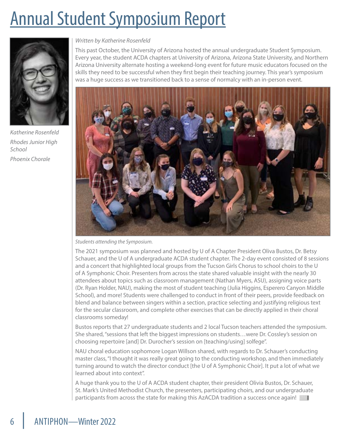## Annual Student Symposium Report



*Katherine Rosenfeld Rhodes Junior High School Phoenix Chorale*

#### *Written by Katherine Rosenfeld*

This past October, the University of Arizona hosted the annual undergraduate Student Symposium. Every year, the student ACDA chapters at University of Arizona, Arizona State University, and Northern Arizona University alternate hosting a weekend-long event for future music educators focused on the skills they need to be successful when they first begin their teaching journey. This year's symposium was a huge success as we transitioned back to a sense of normalcy with an in-person event.



*Students attending the Symposium.*

The 2021 symposium was planned and hosted by U of A Chapter President Oliva Bustos, Dr. Betsy Schauer, and the U of A undergraduate ACDA student chapter. The 2-day event consisted of 8 sessions and a concert that highlighted local groups from the Tucson Girls Chorus to school choirs to the U of A Symphonic Choir. Presenters from across the state shared valuable insight with the nearly 30 attendees about topics such as classroom management (Nathan Myers, ASU), assigning voice parts (Dr. Ryan Holder, NAU), making the most of student teaching (Julia Higgins, Esperero Canyon Middle School), and more! Students were challenged to conduct in front of their peers, provide feedback on blend and balance between singers within a section, practice selecting and justifying religious text for the secular classroom, and complete other exercises that can be directly applied in their choral classrooms someday!

Bustos reports that 27 undergraduate students and 2 local Tucson teachers attended the symposium. She shared, "sessions that left the biggest impressions on students…were Dr. Cossley's session on choosing repertoire [and] Dr. Durocher's session on [teaching/using] solfege".

NAU choral education sophomore Logan Willson shared, with regards to Dr. Schauer's conducting master class, "I thought it was really great going to the conducting workshop, and then immediately turning around to watch the director conduct [the U of A Symphonic Choir]. It put a lot of what we learned about into context".

A huge thank you to the U of A ACDA student chapter, their president Olivia Bustos, Dr. Schauer, St. Mark's United Methodist Church, the presenters, participating choirs, and our undergraduate participants from across the state for making this AzACDA tradition a success once again!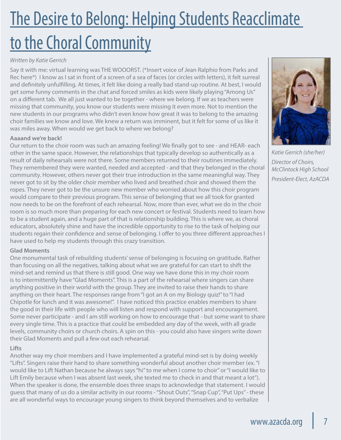# The Desire to Belong: Helping Students Reacclimate to the Choral Community

#### *Written by Katie Gerrich*

Say it with me: virtual learning was THE WOOORST. (\*Insert voice of Jean Ralphio from Parks and Rec here\*) I know as I sat in front of a screen of a sea of faces (or circles with letters), it felt surreal and definitely unfulfilling. At times, it felt like doing a really bad stand-up routine. At best, I would get some funny comments in the chat and forced smiles as kids were likely playing "Among Us" on a different tab. We all just wanted to be together - where we belong. If we as teachers were missing that community, you know our students were missing it even more. Not to mention the new students in our programs who didn't even know how great it was to belong to the amazing choir families we know and love. We knew a return was imminent, but it felt for some of us like it was miles away. When would we get back to where we belong?

#### **Aaaand we're back!**

Our return to the choir room was such an amazing feeling! We finally got to see - and HEAR- each other in the same space. However, the relationships that typically develop so authentically as a result of daily rehearsals were not there. Some members returned to their routines immediately. They remembered they were wanted, needed and accepted - and that they belonged in the choral community. However, others never got their true introduction in the same meaningful way. They never got to sit by the older choir member who lived and breathed choir and showed them the ropes. They never got to be the unsure new member who worried about how this choir program would compare to their previous program. This sense of belonging that we all took for granted now needs to be on the forefront of each rehearsal. Now, more than ever, what we do in the choir room is so much more than preparing for each new concert or festival. Students need to learn how to be a student again, and a huge part of that is relationship building. This is where we, as choral educators, absolutely shine and have the incredible opportunity to rise to the task of helping our students regain their confidence and sense of belonging. I offer to you three different approaches I have used to help my students through this crazy transition.

#### **Glad Moments**

One monumental task of rebuilding students' sense of belonging is focusing on gratitude. Rather than focusing on all the negatives, talking about what we are grateful for can start to shift the mind-set and remind us that there is still good. One way we have done this in my choir room is to intermittently have "Glad Moments". This is a part of the rehearsal where singers can share anything positive in their world with the group. They are invited to raise their hands to share anything on their heart. The responses range from "I got an A on my Biology quiz!" to "I had Chipotle for lunch and it was awesome!". I have noticed this practice enables members to share the good in their life with people who will listen and respond with support and encouragement. Some never participate - and I am still working on how to encourage that - but some want to share every single time. This is a practice that could be embedded any day of the week, with all grade levels, community choirs or church choirs. A spin on this - you could also have singers write down their Glad Moments and pull a few out each rehearsal.

#### **Lifts**

Another way my choir members and I have implemented a grateful mind-set is by doing weekly "Lifts". Singers raise their hand to share something wonderful about another choir member (ex. "I would like to Lift Nathan because he always says "hi" to me when I come to choir" or "I would like to Lift Emily because when I was absent last week, she texted me to check in and that meant a lot"). When the speaker is done, the ensemble does three snaps to acknowledge that statement. I would guess that many of us do a similar activity in our rooms - "Shout Outs", "Snap Cup", "Put Ups" - these are all wonderful ways to encourage young singers to think beyond themselves and to verbalize



*Katie Gerrich (she/her) Director of Choirs, McClintock High School President-Elect, AzACDA*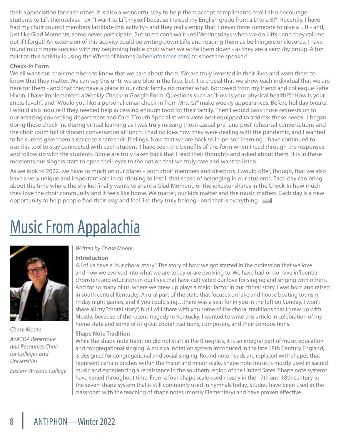their appreciation for each other. It is also a wonderful way to help them accept compliments, too! I also encourage students to Lift themselves - ex. "I want to Lift myself because I raised my English grade from a D to a B!". Recently, I have had my choir council members facilitate this activity - and they really enjoy that! I never force someone to give a Lift - and, just like Glad Moments, some never participate. But some can't wait until Wednesdays when we do Lifts - and they call me out if I forget! An extension of this activity could be writing down Lifts and reading them as bell ringers or closures. I have found much more success with my beginning treble choir when we write them down - as they are a very shy group. A fun twist to this activity is using the Wheel of Names ([wheelofnames.com](http://wheelofnames.com)) to select the speaker!

#### **Check-In Form**

We all want our choir members to know that we care about them. We are truly invested in their lives and want them to know that they matter. We can say this until we are blue in the face, but it is crucial that we show each individual that we are here for them - and that they have a place in our choir family no matter what. Borrowed from my friend and colleague Katie Hixon, I have implemented a Weekly Check-In Google Form. Questions such as "How is your physical health?", "How is your stress level?", and "Would you like a personal email check-in from Mrs. G?" make weekly appearances. Before holiday breaks, I would also inquire if they needed help accessing enough food for their family. Then I would pass those requests on to our amazing counseling department and Care 7 Youth Specialist who were best equipped to address these needs. I began doing these check-ins during virtual learning as I was truly missing those casual pre- and post-rehearsal conversations and the choir room full of vibrant conversation at lunch. I had no idea how they were dealing with the pandemic, and I wanted to be sure to give them a space to share their feelings. Now that we are back to in-person learning, I have continued to use this tool to stay connected with each student. I have seen the benefits of this form when I read through the responses and follow up with the students. Some are truly taken back that I read their thoughts and asked about them. It is in these moments our singers start to open their eyes to the notion that we truly care and want to listen.

As we look to 2022, we have so much on our plates - both choir members and directors. I would offer, though, that we also have a very unique and important role in continuing to instill that sense of belonging in our students. Each day can bring about the time where the shy kid finally wants to share a Glad Moment, or the jokester shares in the Check-In how much they love the choir community and it feels like home. We matter, our kids matter and the music matters. Each day is a new opportunity to help people find their way and feel like they truly belong - and that is everything.  $\equiv$ 

### Music From Appalachia



*Chase Moore AzACDA Repertoire and Resources Chair for Colleges and Universities Eastern Arizona College* 

#### *Written by Chase Moore*

#### **Introduction**

All of us have a "our choral story". The story of how we got started in the profession that we love and how we evolved into what we are today or are evolving to. We have had or do have influential choristers and educators in our lives that have cultivated our love for singing and singing with others. And for so many of us, where we grew up plays a major factor in our choral story. I was born and raised in south central Kentucky. A rural part of the state that focuses on lake and house boating tourism, Friday night games, and if you could sing…there was a seat for in you in the loft on Sunday. I won't share all my "choral story", but I will share with you some of the choral traditions that I grew up with. Mostly, because of the recent tragedy in Kentucky, I wanted to write this article in celebration of my home state and some of its great choral traditions, composers, and their compositions.

#### **Shape Note Tradition**

While the shape note tradition did not start in the Bluegrass, it is an integral part of music education and congregational singing. A musical notation system introduced in the late 18th Century England, is designed for congregational and social singing. Round note heads are replaced with shapes that represent certain pitches within the major and minor scale. Shape note music is mostly used in sacred music and experiencing a renaissance in the southern region of the United Sates. Shape note systems have varied throughout time. From a four-shape scale used mostly in the 17th and 18th century to the seven-shape system that is still commonly used in hymnals today. Studies have been used in the classroom with the teaching of shape notes (mostly Elementary) and have proven effective.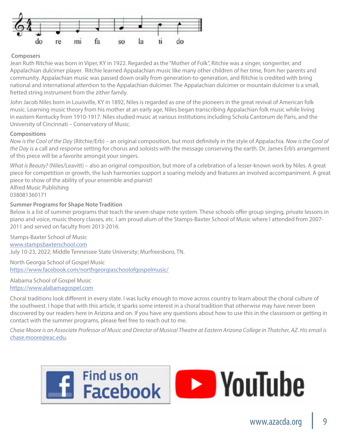

#### **Composers**

Jean Ruth Ritchie was born in Viper, KY in 1922. Regarded as the "Mother of Folk", Ritchie was a singer, songwriter, and Appalachian dulcimer player. Ritchie learned Appalachian music like many other children of her time, from her parents and community. Appalachian music was passed down orally from generation-to-generation, and Ritchie is credited with bring national and international attention to the Appalachian dulcimer. The Appalachian dulcimer or mountain dulcimer is a small, fretted string instrument from the zither family.

John Jacob Niles born in Louisville, KY in 1892, Niles is regarded as one of the pioneers in the great revival of American folk music. Learning music theory from his mother at an early age, Niles began transcribing Appalachian folk music while living in eastern Kentucky from 1910-1917. Niles studied music at various institutions including Schola Cantorum de Paris, and the University of Cincinnati – Conservatory of Music.

#### **Compositions**

*Now is the Cool of the Day* (Ritchie/Erb) – an original composition, but most definitely in the style of Appalachia. *Now is the Cool of the Day* is a call and response setting for chorus and soloists with the message conserving the earth. Dr. James Erb's arrangement of this piece will be a favorite amongst your singers.

*What is Beauty?* (Niles/Leavitt) – also an original composition, but more of a celebration of a lesser-known work by Niles. A great piece for competition or growth, the lush harmonies support a soaring melody and features an involved accompaniment. A great piece to show of the ability of your ensemble and pianist! Alfred Music Publishing

038081360171

#### **Summer Programs for Shape Note Tradition**

Below is a list of summer programs that teach the seven-shape note system. These schools offer group singing, private lessons in piano and voice, music theory classes, etc. I am proud alum of the Stamps-Baxter School of Music where I attended from 2007- 2011 and served on faculty from 2013-2016.

Stamps-Baxter School of Music [www.stampsbaxterschool.com](http://www.stampsbaxterschool.com) July 10-23, 2022; Middle Tennessee State University; Murfreesboro, TN.

North Georgia School of Gospel Music <https://www.facebook.com/northgeorgiaschoolofgospelmusic/>

Alabama School of Gospel Music <https://www.alabamagospel.com>

Choral traditions look different in every state. I was lucky enough to move across country to learn about the choral culture of the southwest. I hope that with this article, it sparks some interest in a choral tradition that otherwise may have never been discovered by our readers here in Arizona and on. If you have any questions about how to use this in the classroom or getting in contact with the summer programs, please feel free to reach out to me.

*Chase Moore is an Associate Professor of Music and Director of Musical Theatre at Eastern Arizona College in Thatcher, AZ. His email is* [chase.moore@eac.edu](mailto:chase.moore%40eac.edu?subject=Appalacian%20Music).

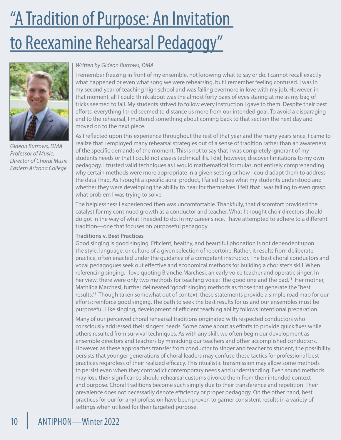# "A Tradition of Purpose: An Invitation to Reexamine Rehearsal Pedagogy"



*Gideon Burrows, DMA Professor of Music, Director of Choral Music Eastern Arizona College*

#### *Written by Gideon Burrows, DMA*

I remember freezing in front of my ensemble, not knowing what to say or do. I cannot recall exactly what happened or even what song we were rehearsing, but I remember feeling confused. I was in my second year of teaching high school and was falling evermore in love with my job. However, in that moment, all I could think about was the almost forty pairs of eyes staring at me as my bag of tricks seemed to fail. My students strived to follow every instruction I gave to them. Despite their best efforts, everything I tried seemed to distance us more from our intended goal. To avoid a disparaging end to the rehearsal, I muttered something about coming back to that section the next day and moved on to the next piece.

As I reflected upon this experience throughout the rest of that year and the many years since, I came to realize that I employed many rehearsal strategies out of a sense of tradition rather than an awareness of the specific demands of the moment. This is not to say that I was completely ignorant of my students needs or that I could not assess technical ills. I did, however, discover limitations to my own pedagogy. I trusted valid techniques as I would mathematical formulas, not entirely comprehending why certain methods were more appropriate in a given setting or how I could adapt them to address the data I had. As I sought a specific aural product, I failed to see what my students understood and whether they were developing the ability to hear for themselves. I felt that I was failing to even grasp what problem I was trying to solve.

The helplessness I experienced then was uncomfortable. Thankfully, that discomfort provided the catalyst for my continued growth as a conductor and teacher. What I thought choir directors should do got in the way of what I needed to do. In my career since, I have attempted to adhere to a different tradition—one that focuses on purposeful pedagogy.

#### **Traditions v. Best Practices**

Good singing is good singing. Efficient, healthy, and beautiful phonation is not dependent upon the style, language, or culture of a given selection of repertoire. Rather, it results from deliberate practice, often enacted under the guidance of a competent instructor. The best choral conductors and vocal pedagogues seek out effective and economical methods for building a chorister's skill. When referencing singing, I love quoting Blanche Marchesi, an early voice teacher and operatic singer. In her view, there were only two methods for teaching voice: "the good one and the bad."<sup>1</sup> Her mother, Mathilda Marchesi, further delineated "good" singing methods as those that generate the "best results."<sup>2</sup> Though taken somewhat out of context, these statements provide a simple road map for our efforts: reinforce good singing. The path to seek the best results for us and our ensembles must be purposeful. Like singing, development of efficient teaching ability follows intentional preparation.

Many of our perceived choral rehearsal traditions originated with respected conductors who consciously addressed their singers' needs. Some came about as efforts to provide quick fixes while others resulted from survival techniques. As with any skill, we often begin our development as ensemble directors and teachers by mimicking our teachers and other accomplished conductors. However, as these approaches transfer from conductor to singer and teacher to student, the possibility persists that younger generations of choral leaders may confuse these tactics for professional best practices regardless of their realized efficacy. This ritualistic transmission may allow some methods to persist even when they contradict contemporary needs and understanding. Even sound methods may lose their significance should rehearsal customs divorce them from their intended context and purpose. Choral traditions become such simply due to their transference and repetition. Their prevalence does not necessarily denote efficiency or proper pedagogy. On the other hand, best practices for our (or any) profession have been proven to garner consistent results in a variety of settings when utilized for their targeted purpose.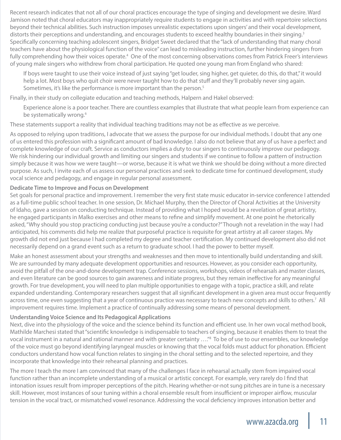Recent research indicates that not all of our choral practices encourage the type of singing and development we desire. Ward Jamison noted that choral educators may inappropriately require students to engage in activities and with repertoire selections beyond their technical abilities. Such instruction imposes unrealistic expectations upon singers' and their vocal development, distorts their perceptions and understanding, and encourages students to exceed healthy boundaries in their singing.<sup>3</sup> Specifically concerning teaching adolescent singers, Bridget Sweet declared that the "lack of understanding that many choral teachers have about the physiological function of the voice" can lead to misleading instruction, further hindering singers from fully comprehending how their voices operate.<sup>4</sup> One of the most concerning observations comes from Patrick Freer's interviews of young male singers who withdrew from choral participation. He quoted one young man from England who shared:

If boys were taught to use their voice instead of just saying "get louder, sing higher, get quieter, do this, do that," it would help a lot. Most boys who quit choir were never taught how to do that stuff and they'll probably never sing again. Sometimes, it's like the performance is more important than the person.<sup>5</sup>

Finally, in their study on collegiate education and teaching methods, Halpern and Hakel observed:

Experience alone is a poor teacher. There are countless examples that illustrate that what people learn from experience can be systematically wrong.<sup>6</sup>

These statements support a reality that individual teaching traditions may not be as effective as we perceive.

As opposed to relying upon traditions, I advocate that we assess the purpose for our individual methods. I doubt that any one of us entered this profession with a significant amount of bad knowledge. I also do not believe that any of us have a perfect and complete knowledge of our craft. Service as conductors implies a duty to our singers to continuously improve our pedagogy. We risk hindering our individual growth and limiting our singers and students if we continue to follow a pattern of instruction simply because it was how we were taught—or worse, because it is what we think we should be doing without a more directed purpose. As such, I invite each of us assess our personal practices and seek to dedicate time for continued development, study vocal science and pedagogy, and engage in regular personal assessment.

#### **Dedicate Time to Improve and Focus on Development**

Set goals for personal practice and improvement. I remember the very first state music educator in-service conference I attended as a full-time public school teacher. In one session, Dr. Michael Murphy, then the Director of Choral Activities at the University of Idaho, gave a session on conducting technique. Instead of providing what I hoped would be a revelation of great artistry, he engaged participants in Malko exercises and other means to refine and simplify movement. At one point he rhetorically asked, "Why should you stop practicing conducting just because you're a conductor?" Though not a revelation in the way I had anticipated, his comments did help me realize that purposeful practice is requisite for great artistry at all career stages. My growth did not end just because I had completed my degree and teacher certification. My continued development also did not necessarily depend on a grand event such as a return to graduate school. I had the power to better myself.

Make an honest assessment about your strengths and weaknesses and then move to intentionally build understanding and skill. We are surrounded by many adequate development opportunities and resources. However, as you consider each opportunity, avoid the pitfall of the one-and-done development trap. Conference sessions, workshops, videos of rehearsals and master classes, and even literature can be good sources to gain awareness and initiate progress, but they remain ineffective for any meaningful growth. For true development, you will need to plan multiple opportunities to engage with a topic, practice a skill, and relate expanded understanding. Contemporary researchers suggest that all significant development in a given area must occur frequently across time, one even suggesting that a year of continuous practice was necessary to teach new concepts and skills to others.<sup>7</sup> All improvement requires time. Implement a practice of continually addressing some means of personal development.

#### **Understanding Voice Science and Its Pedagogical Applications**

Next, dive into the physiology of the voice and the science behind its function and efficient use. In her own vocal method book, Mathilde Marchesi stated that "scientific knowledge is indispensable to teachers of singing, because it enables them to treat the vocal instrument in a natural and rational manner and with greater certainty …."8 To be of use to our ensembles, our knowledge of the voice must go beyond identifying laryngeal muscles or knowing that the vocal folds must adduct for phonation. Efficient conductors understand how vocal function relates to singing in the choral setting and to the selected repertoire, and they incorporate that knowledge into their rehearsal planning and practices.

The more I teach the more I am convinced that many of the challenges I face in rehearsal actually stem from impaired vocal function rather than an incomplete understanding of a musical or artistic concept. For example, very rarely do I find that intonation issues result from improper perceptions of the pitch. Hearing whether-or-not sung pitches are in tune is a necessary skill. However, most instances of sour tuning within a choral ensemble result from insufficient or improper airflow, muscular tension in the vocal tract, or mismatched vowel resonance. Addressing the vocal deficiency improves intonation better and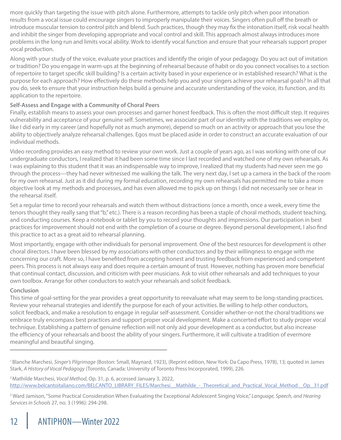more quickly than targeting the issue with pitch alone. Furthermore, attempts to tackle only pitch when poor intonation results from a vocal issue could encourage singers to improperly manipulate their voices. Singers often pull off the breath or introduce muscular tension to control pitch and blend. Such practices, though they may fix the intonation itself, risk vocal health and inhibit the singer from developing appropriate and vocal control and skill. This approach almost always introduces more problems in the long run and limits vocal ability. Work to identify vocal function and ensure that your rehearsals support proper vocal production.

Along with your study of the voice, evaluate your practices and identify the origin of your pedagogy. Do you act out of imitation or tradition? Do you engage in warm-ups at the beginning of rehearsal because of habit or do you connect vocalises to a section of repertoire to target specific skill building? Is a certain activity based in your experience or in established research? What is the purpose for each approach? How effectively do these methods help you and your singers achieve your rehearsal goals? In all that you do, seek to ensure that your instruction helps build a genuine and accurate understanding of the voice, its function, and its application to the repertoire.

#### **Self-Assess and Engage with a Community of Choral Peers**

Finally, establish means to assess your own processes and garner honest feedback. This is often the most difficult step. It requires vulnerability and acceptance of your genuine self. Sometimes, we associate part of our identity with the traditions we employ or, like I did early in my career (and hopefully not as much anymore), depend so much on an activity or approach that you lose the ability to objectively analyze rehearsal challenges. Egos must be placed aside in order to construct an accurate evaluation of our individual methods.

Video recording provides an easy method to review your own work. Just a couple of years ago, as I was working with one of our undergraduate conductors, I realized that it had been some time since I last recorded and watched one of my own rehearsals. As I was explaining to this student that it was an indispensable way to improve, I realized that my students had never seen me go through the process—they had never witnessed me walking the talk. The very next day, I set up a camera in the back of the room for my own rehearsal. Just as it did during my formal education, recording my own rehearsals has permitted me to take a more objective look at my methods and processes, and has even allowed me to pick up on things I did not necessarily see or hear in the rehearsal itself.

Set a regular time to record your rehearsals and watch them without distractions (once a month, once a week, every time the tenors thought they really sang that "b," etc.). There is a reason recording has been a staple of choral methods, student teaching, and conducting courses. Keep a notebook or tablet by you to record your thoughts and impressions. Our participation in best practices for improvement should not end with the completion of a course or degree. Beyond personal development, I also find this practice to act as a great aid to rehearsal planning.

Most importantly, engage with other individuals for personal improvement. One of the best resources for development is other choral directors. I have been blessed by my associations with other conductors and by their willingness to engage with me concerning our craft. More so, I have benefited from accepting honest and trusting feedback from experienced and competent peers. This process is not always easy and does require a certain amount of trust. However, nothing has proven more beneficial that continual contact, discussion, and criticism with peer musicians. Ask to visit other rehearsals and add techniques to your own toolbox. Arrange for other conductors to watch your rehearsals and solicit feedback.

#### **Conclusion**

This time of goal-setting for the year provides a great opportunity to reevaluate what may seem to be long-standing practices. Review your rehearsal strategies and identify the purpose for each of your activities. Be willing to help other conductors, solicit feedback, and make a resolution to engage in regular self-assessment. Consider whether-or-not the choral traditions we embrace truly encompass best practices and support proper vocal development. Make a concerted effort to study proper vocal technique. Establishing a pattern of genuine reflection will not only aid your development as a conductor, but also increase the efficiency of your rehearsals and boost the ability of your singers. Furthermore, it will cultivate a tradition of evermore meaningful and beautiful singing.

2 Mathilde Marchesi, *Vocal Method*, Op. 31, p. 6, accessed January 3, 2022, http://www.belcantoitaliano.com/BELCANTO\_LIBRARY\_FILES/Marchesi\_Mathilde\_- Theoretical\_and\_Practical\_Vocal\_Method\_\_Op.\_31.pdf

<sup>1</sup> Blanche Marchesi, *Singer's Pilgrimage* (Boston: Small, Maynard, 1923), (Reprint edition, New York: Da Capo Press, 1978), 13; quoted in James Stark, *A History of Vocal Pedagogy* (Toronto, Canada: University of Toronto Press Incorporated, 1999), 226.

<sup>3</sup> Ward Jamison, "Some Practical Consideration When Evaluating the Exceptional Adolescent Singing Voice," *Language, Speech, and Hearing Services in Schools* 27, no. 3 (1996): 294-298.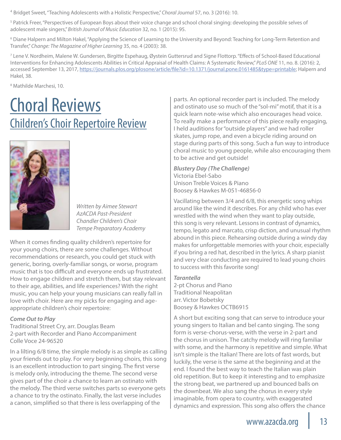<sup>4</sup> Bridget Sweet, "Teaching Adolescents with a Holistic Perspective," *Choral Journal* 57, no. 3 (2016): 10.

<sup>5</sup> Patrick Freer, "Perspectives of European Boys about their voice change and school choral singing: developing the possible selves of adolescent male singers," *British Journal of Music Education* 32, no. 1 (2015): 95.

6 Diane Halpern and Milton Hakel, "Applying the Science of Learning to the University and Beyond: Teaching for Long-Term Retention and Transfer," *Change: The Magazine of Higher Learning* 35, no. 4 (2003): 38.

7 Lene V. Nordheim, Malene W. Gundersen, Birgitte Espehaug, Øystein Guttersrud and Signe Flottorp. "Effects of School-Based Educational Interventions for Enhancing Adolescents Abilities in Critical Appraisal of Health Claims: A Systematic Review," *PLoS ONE* 11, no. 8. (2016): 2, accessed September 13, 2017, https://journals.plos.org/plosone/article/file?id=10.1371/journal.pone.0161485&type=printable; Halpern and Hakel, 38.

8 Mathilde Marchesi, 10.

### Choral Reviews Children's Choir Repertoire Review



*Written by Aimee Stewart AzACDA Past-President Chandler Children's Choir Tempe Preparatory Academy*

When it comes finding quality children's repertoire for your young choirs, there are some challenges. Without recommendations or research, you could get stuck with generic, boring, overly-familiar songs, or worse, program music that is too difficult and everyone ends up frustrated. How to engage children and stretch them, but stay relevant to their age, abilities, and life experiences? With the right music, you can help your young musicians can really fall in love with choir. Here are my picks for engaging and ageappropriate children's choir repertoire:

#### *Come Out to Play*

Traditional Street Cry, arr. Douglas Beam 2-part with Recorder and Piano Accompaniment Colle Voce 24-96520

In a lilting 6/8 time, the simple melody is as simple as calling your friends out to play. For very beginning choirs, this song is an excellent introduction to part singing. The first verse is melody only, introducing the theme. The second verse gives part of the choir a chance to learn an ostinato with the melody. The third verse switches parts so everyone gets a chance to try the ostinato. Finally, the last verse includes a canon, simplified so that there is less overlapping of the

parts. An optional recorder part is included. The melody and ostinato use so much of the "sol-mi" motif, that it is a quick learn note-wise which also encourages head voice. To really make a performance of this piece really engaging, I held auditions for "outside players" and we had roller skates, jump rope, and even a bicycle riding around on stage during parts of this song. Such a fun way to introduce choral music to young people, while also encouraging them to be active and get outside!

*Blustery Day (The Challenge)*  Victoria Ebel-Sabo Unison Treble Voices & Piano Boosey & Hawkes M-051-46856-0

Vacillating between 3/4 and 6/8, this energetic song whips around like the wind it describes. For any child who has ever wrestled with the wind when they want to play outside, this song is very relevant. Lessons in contrast of dynamics, tempo, legato and marcato, crisp diction, and unusual rhythm abound in this piece. Rehearsing outside during a windy day makes for unforgettable memories with your choir, especially if you bring a red hat, described in the lyrics. A sharp pianist and very clear conducting are required to lead young choirs to success with this favorite song!

*Tarantella* 2-pt Chorus and Piano Traditional Neapolitan arr. Victor Bobetsky Boosey & Hawkes OCTB6915

A short but exciting song that can serve to introduce your young singers to Italian and bel canto singing. The song form is verse-chorus-verse, with the verse in 2-part and the chorus in unison. The catchy melody will ring familiar with some, and the harmony is repetitive and simple. What isn't simple is the Italian! There are lots of fast words, but luckily, the verse is the same at the beginning and at the end. I found the best way to teach the Italian was plain old repetition. But to keep it interesting and to emphasize the strong beat, we partnered up and bounced balls on the downbeat. We also sang the chorus in every style imaginable, from opera to country, with exaggerated dynamics and expression. This song also offers the chance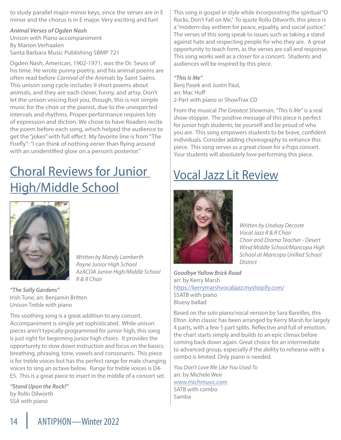to study parallel major-minor keys, since the verses are in E minor and the chorus is in E major. Very exciting and fun!

*Animal Verses of Ogden Nash* Unison with Piano accompaniment By Marion Verhaalen Santa Barbara Music Publishing SBMP 721

Ogden Nash, American, 1902-1971, was the Dr. Seuss of his time. He wrote punny poetry, and his animal poems are often read before *Carnival of the Animals* by Saint Saëns. This unison song cycle includes 9 short poems about animals, and they are each clever, funny, and artsy. Don't let the unison voicing fool you, though, this is not simple music for the choir or the pianist, due to the unexpected intervals and rhythms. Proper performance requires lots of expression and diction. We chose to have Readers recite the poem before each song, which helped the audience to get the "jokes" with full effect. My favorite line is from "The Firefly": "I can think of nothing eerier than flying around with an unidentified glow on a person's posterior."

### Choral Reviews for Junior High/Middle School



*Written by Mandy Lamberth Payne Junior High School AzACDA Junior High/Middle School R & R Chair*

*"The Sally Gardens"* Irish Tune, arr. Benjamin Britten Unison Treble with piano

This soothing song is a great addition to any concert. Accompaniment is simple yet sophisticated. While unison pieces aren't typically programmed for junior high, this song is just right for beginning junior high choirs. It provides the opportunity to slow down instruction and focus on the basics: breathing, phrasing, tone, vowels and consonants. This piece is for treble voices but has the perfect range for male changing voices to sing an octave below. Range for treble voices is D4- E5. This is a great piece to insert in the middle of a concert set.

*"Stand Upon the Rock!"* by Rollo Dilworth SSA with piano

This song is gospel in style while incorporating the spiritual "O Rocks, Don't Fall on Me." To quote Rollo Dilworth, this piece is a "modern-day anthem for peace, equality, and social justice." The verses of this song speak to issues such as taking a stand against hate and respecting people for who they are. A great opportunity to teach form, as the verses are call and response. This song works well as a closer for a concert. Students and audiences will be inspired by this piece.

*"This Is Me"*  Benj Pasek and Justin Paul, arr. Mac Huff 2-Part with piano or ShowTrax CD

From the musical *The Greatest Showman, "This Is Me"* is a real show-stopper. The positive message of this piece is perfect for junior high students; be yourself and be proud of who you are. This song empowers students to be brave, confident individuals. Consider adding choreography to enhance this piece. This song serves as a great closer for a Pops concert. Your students will absolutely love performing this piece.

### Vocal Jazz Lit Review



*Written by Lindsay Decoste Vocal Jazz R & R Chair Choir and Drama Teacher - Desert Wind Middle School/Maricopa High School at Maricopa Unified School District*

*Goodbye Yellow Brick Road* arr. by Kerry Marsh <https://kerrymarshvocaljazz.myshopify.com/> SSATB with piano Bluesy ballad

Based on the solo piano/vocal version by Sara Bareilles, this Elton John classic has been arranged by Kerry Marsh for largely 4 parts, with a few 5 part splits. Reflective and full of emotion, the chart starts simply and builds to an epic climax before coming back down again. Great choice for an intermediate to advanced group, especially if the ability to rehearse with a combo is limited. Only piano is needed.

*You Don't Love Me Like You Used To* arr. by Michele Weir [www.michmusic.com](http://www.michmusic.com) SATB with combo Samba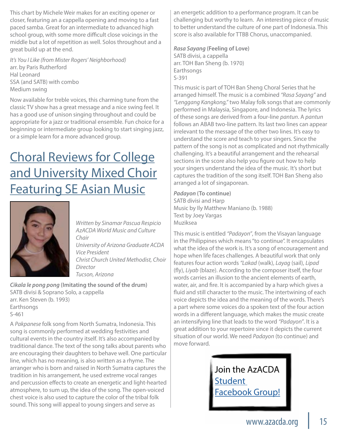This chart by Michele Weir makes for an exciting opener or closer, featuring an a cappella opening and moving to a fast paced samba. Great for an intermediate to advanced high school group, with some more difficult close voicings in the middle but a lot of repetition as well. Solos throughout and a great build up at the end.

*It's You I Like (from Mister Rogers' Neighborhood)* arr. by Paris Rutherford Hal Leonard SSA (and SATB) with combo Medium swing

Now available for treble voices, this charming tune from the classic TV show has a great message and a nice swing feel. It has a good use of unison singing throughout and could be appropriate for a jazz or traditional ensemble. Fun choice for a beginning or intermediate group looking to start singing jazz, or a simple learn for a more advanced group.

### Choral Reviews for College and University Mixed Choir **Featuring SE Asian Music**



*Written by Sinamar Pascua Respicio AzACDA World Music and Culture Chair University of Arizona Graduate ACDA Vice President Christ Church United Methodist, Choir Director Tucson, Arizona*

*Cikala le pong pong* **(Imitating the sound of the drum)** SATB divisi & Soprano Solo, a cappella arr. Ken Steven (b. 1993) Earthsongs S-461

A *Pakpanese* folk song from North Sumatra, Indonesia. This song is commonly performed at wedding festivities and cultural events in the country itself. It's also accompanied by traditional dance. The text of the song talks about parents who are encouraging their daughters to behave well. One particular line, which has no meaning, is also written as a rhyme. The arranger who is born and raised in North Sumatra captures the tradition in his arrangement, he used extreme vocal ranges and percussion effects to create an energetic and light-hearted atmosphere, to sum up, the idea of the song. The open-voiced chest voice is also used to capture the color of the tribal folk sound. This song will appeal to young singers and serve as

an energetic addition to a performance program. It can be challenging but worthy to learn. An interesting piece of music to better understand the culture of one part of Indonesia. This score is also available for TTBB Chorus, unaccompanied.

*Rasa Sayang* **(Feeling of Love)** SATB divisi, a cappella arr. TOH Ban Sheng (b. 1970) Earthsongs S-391

This music is part of TOH Ban Sheng Choral Series that he arranged himself. The music is a combined *"Rasa Sayang"* and *"Lenggang Kangkong,"* two Malay folk songs that are commonly performed in Malaysia, Singapore, and Indonesia. The lyrics of these songs are derived from a four-line *pantun*. A *pantun* follows an ABAB two-line pattern. Its last two lines can appear irrelevant to the message of the other two lines. It's easy to understand the score and teach to your singers. Since the pattern of the song is not as complicated and not rhythmically challenging. It's a beautiful arrangement and the rehearsal sections in the score also help you figure out how to help your singers understand the idea of the music. It's short but captures the tradition of the song itself. TOH Ban Sheng also arranged a lot of singaporean.

*Padayon* **(To continue)** SATB divisi and Harp Music by Ily Matthew Maniano (b. 1988) Text by Joey Vargas Muziksea

This music is entitled *"Padayon"*, from the Visayan language in the Philippines which means "to continue". It encapsulates what the idea of the work is. It's a song of encouragement and hope when life faces challenges. A beautiful work that only features four action words *"Lakad* (walk), *Layag* (sail), *Lipad* (fly), *Liyab* (blaze). According to the composer itself, the four words carries an illusion to the ancient elements of earth, water, air, and fire. It is accompanied by a harp which gives a fluid and still character to the music. The intertwining of each voice depicts the idea and the meaning of the words. There's a part where some voices do a spoken text of the four action words in a different language, which makes the music create an intensifying line that leads to the word *"Padayon"*. It is a great addition to your repertoire since it depicts the current situation of our world. We need *Padayon* (to continue) and move forward.

> Join the AzACDA **Student** [Facebook Group!](https://www.facebook.com/groups/400456246726251/about/)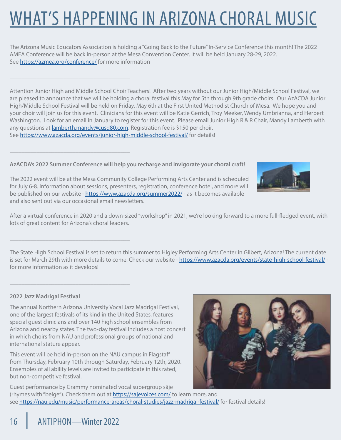# WHAT'S HAPPENING IN ARIZONA CHORAL MUSIC

The Arizona Music Educators Association is holding a "Going Back to the Future" In-Service Conference this month! The 2022 AMEA Conference will be back in-person at the Mesa Convention Center. It will be held January 28-29, 2022. See <https://azmea.org/conference/> for more information

Attention Junior High and Middle School Choir Teachers! After two years without our Junior High/Middle School Festival, we are pleased to announce that we will be holding a choral festival this May for 5th through 9th grade choirs. Our AzACDA Junior High/Middle School Festival will be held on Friday, May 6th at the First United Methodist Church of Mesa. We hope you and your choir will join us for this event. Clinicians for this event will be Katie Gerrich, Troy Meeker, Wendy Umbrianna, and Herbert Washington. Look for an email in January to register for this event. Please email Junior High R & R Chair, Mandy Lamberth with any questions at *lamberth.mandy@cusd80.com*. Registration fee is \$150 per choir. See <https://www.azacda.org/events/junior-high-middle-school-festival/> for details!

#### **AzACDA's 2022 Summer Conference will help you recharge and invigorate your choral craft!**

The 2022 event will be at the Mesa Community College Performing Arts Center and is scheduled for July 6-8. Information about sessions, presenters, registration, conference hotel, and more will be published on our website - <https://www.azacda.org/summer2022/> - as it becomes available and also sent out via our occasional email newsletters.

After a virtual conference in 2020 and a down-sized "workshop" in 2021, we're looking forward to a more full-fledged event, with lots of great content for Arizona's choral leaders.

The State High School Festival is set to return this summer to Higley Performing Arts Center in Gilbert, Arizona! The current date is set for March 29th with more details to come. Check our website - <https://www.azacda.org/events/state-high-school-festival/> for more information as it develops!

#### **2022 Jazz Madrigal Festival**

\_\_\_\_\_\_\_\_\_\_\_\_\_\_\_\_\_\_\_\_\_\_\_\_\_\_\_\_\_\_\_\_\_\_\_\_\_\_\_\_

\_\_\_\_\_\_\_\_\_\_\_\_\_\_\_\_\_\_\_\_\_\_\_\_\_\_\_\_\_\_\_\_\_\_\_\_\_\_\_\_

\_\_\_\_\_\_\_\_\_\_\_\_\_\_\_\_\_\_\_\_\_\_\_\_\_\_\_\_\_\_\_\_\_\_\_\_\_\_\_\_

\_\_\_\_\_\_\_\_\_\_\_\_\_\_\_\_\_\_\_\_\_\_\_\_\_\_\_\_\_\_\_\_\_\_\_\_\_\_\_\_

The annual Northern Arizona University Vocal Jazz Madrigal Festival, one of the largest festivals of its kind in the United States, features special guest clinicians and over 140 high school ensembles from Arizona and nearby states. The two-day festival includes a host concert in which choirs from NAU and professional groups of national and international stature appear.

This event will be held in-person on the NAU campus in Flagstaff from Thursday, February 10th through Saturday, February 12th, 2020. Ensembles of all ability levels are invited to participate in this rated, but non-competitive festival.

Guest performance by Grammy nominated vocal supergroup säje (rhymes with "beige"). Check them out at <https://sajevoices.com/> to learn more, and see <https://nau.edu/music/performance-areas/choral-studies/jazz-madrigal-festival/> for festival details!





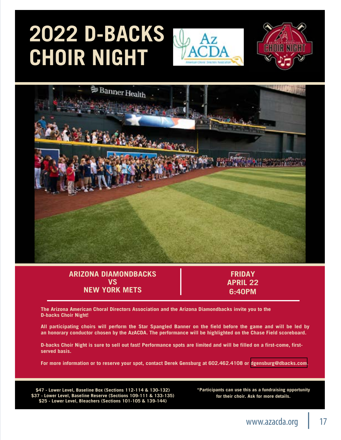# **2022 D-BACKS CHOIR NIGHT**







#### **ARIZONA DIAMONDBACKS VS NEW YORK METS**

**FRIDAY APRIL 22 6:40PM**

**The Arizona American Choral Directors Association and the Arizona Diamondbacks invite you to the D-backs Choir Night!**

**All participating choirs will perform the Star Spangled Banner on the field before the game and will be led by an honorary conductor chosen by the AzACDA. The performance will be highlighted on the Chase Field scoreboard.**

**D-backs Choir Night is sure to sell out fast! Performance spots are limited and will be filled on a first-come, firstserved basis.**

**For more information or to reserve your spot, contact Derek Gensburg at 602.462.4108 or [dgensburg@dbacks.com.](mailto:dgensburg@dbacks.com)**

**\$47 - Lower Level, Baseline Box (Sections 112-114 & 130-132) \$37 - Lower Level, Baseline Reserve (Sections 109-111 & 133-135) \$25 - Lower Level, Bleachers (Sections 101-105 & 139-144)**

**\*Participants can use this as a fundraising opportunity for their choir. Ask for more details.**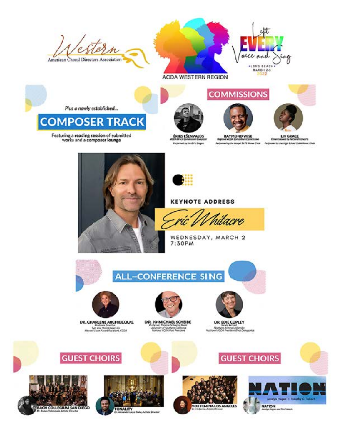torn American Choral Directors Association





#### **ACDA WESTERN REGION**







LIV GRACE é. Retiremed by the Coupel SATE Mones Choi: Performed by the High School SMA Henry Choir

Plus a newly established...

### **COMPOSER TRACK**

Featuring a reading session of submitted<br>works and a composer lounge



**Recommend by the dorts Singern** 

**RAYMOND WISE** they



#### **KEYNOTE ADDRESS**

acre

WEDNESDAY, MARCH 2 7:30PM



**ALL-CONFERENCE SING** 



DR. CHARLENE ARCHIBEQUE Son Jose State University<br>Howard Swan Award Recisions, CCDA



University of Southern Company<br>Transmal ACOA Part President



DR. EDIE COPLEY Northern Mitters University<br>Numined ACCA President Elect Delegante

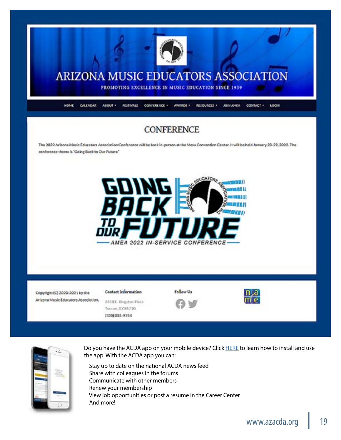



Do you have the ACDA app on your mobile device? Click [HERE](https://www.azacda.org/wp-content/uploads/new-acda-app.pdf) to learn how to install and use the app. With the ACDA app you can:

 Stay up to date on the national ACDA news feed Share with colleagues in the forums Communicate with other members Renew your membership View job opportunities or post a resume in the Career Center And more!